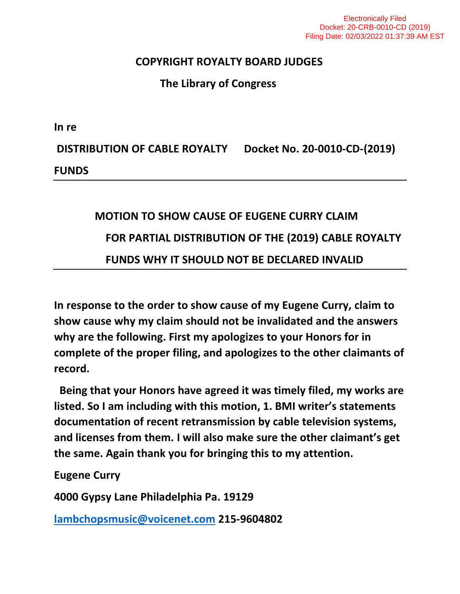## **COPYRIGHT ROYALTY BOARD JUDGES**

## **The Library of Congress**

**In re**

**DISTRIBUTION OF CABLE ROYALTY Docket No. 20-0010-CD-(2019) FUNDS**

## **MOTION TO SHOW CAUSE OF EUGENE CURRY CLAIM FOR PARTIAL DISTRIBUTION OF THE (2019) CABLE ROYALTY FUNDS WHY IT SHOULD NOT BE DECLARED INVALID**

**In response to the order to show cause of my Eugene Curry, claim to show cause why my claim should not be invalidated and the answers why are the following. First my apologizes to your Honors for in complete of the proper filing, and apologizes to the other claimants of record.**

 **Being that your Honors have agreed it was timely filed, my works are listed. So I am including with this motion, 1. BMI writer's statements documentation of recent retransmission by cable television systems, and licenses from them. I will also make sure the other claimant's get the same. Again thank you for bringing this to my attention.**

**Eugene Curry** 

**4000 Gypsy Lane Philadelphia Pa. 19129**

**[lambchopsmusic@voicenet.com](mailto:lambchopsmusic@voicenet.com) 215-9604802**